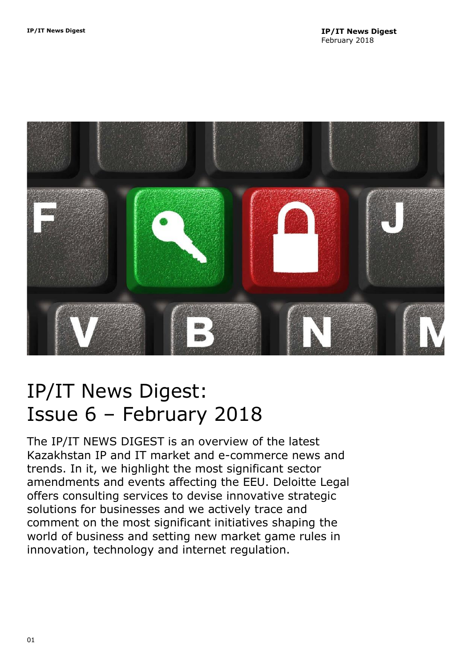<span id="page-0-0"></span>

# IP/IT News Digest: Issue 6 – February 2018

The IP/IT NEWS DIGEST is an overview of the latest Kazakhstan IP and IT market and e-commerce news and trends. In it, we highlight the most significant sector amendments and events affecting the EEU. Deloitte Legal offers consulting services to devise innovative strategic solutions for businesses and we actively trace and comment on the most significant initiatives shaping the world of business and setting new market game rules in innovation, technology and internet regulation.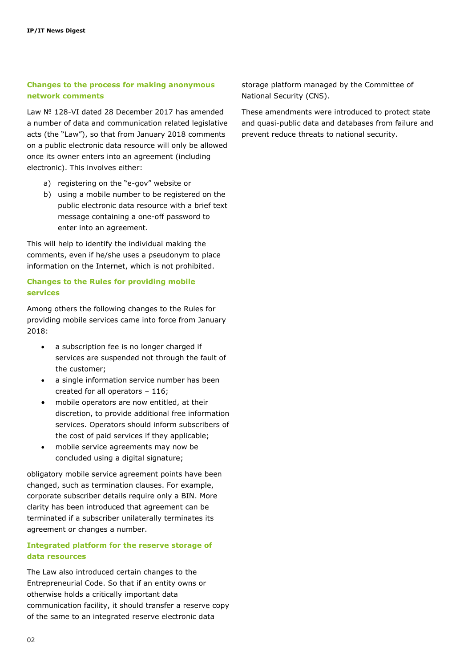## **Changes to the process for making anonymous network comments**

Law № 128-VI dated 28 December 2017 has amended a number of data and communication related legislative acts (the "Law"), so that from January 2018 comments on a public electronic data resource will only be allowed once its owner enters into an agreement (including electronic). This involves either:

- a) registering on the "e-gov" website or
- b) using a mobile number to be registered on the public electronic data resource with a brief text message containing a one-off password to enter into an agreement.

This will help to identify the individual making the comments, even if he/she uses a pseudonym to place information on the Internet, which is not prohibited.

## **Changes to the Rules for providing mobile services**

Among others the following changes to the Rules for providing mobile services came into force from January 2018:

- a subscription fee is no longer charged if services are suspended not through the fault of the customer;
- a single information service number has been created for all operators – 116;
- mobile operators are now entitled, at their discretion, to provide additional free information services. Operators should inform subscribers of the cost of paid services if they applicable;
- mobile service agreements may now be concluded using a digital signature;

obligatory mobile service agreement points have been changed, such as termination clauses. For example, corporate subscriber details require only a BIN. More clarity has been introduced that agreement can be terminated if a subscriber unilaterally terminates its agreement or changes a number.

## **Integrated platform for the reserve storage of data resources**

The Law also introduced certain changes to the Entrepreneurial Code. So that if an entity owns or otherwise holds a critically important data communication facility, it should transfer a reserve copy of the same to an integrated reserve electronic data

storage platform managed by the Committee of National Security (CNS).

These amendments were introduced to protect state and quasi-public data and databases from failure and prevent reduce threats to national security.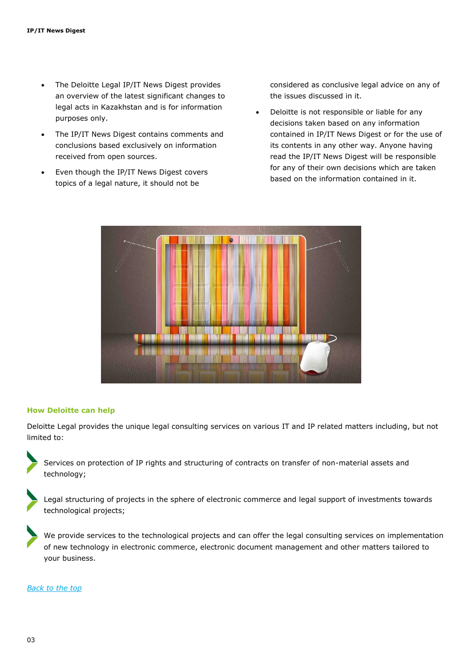- The Deloitte Legal IP/IT News Digest provides an overview of the latest significant changes to legal acts in Kazakhstan and is for information purposes only.
- The IP/IT News Digest contains comments and conclusions based exclusively on information received from open sources.
- Even though the IP/IT News Digest covers topics of a legal nature, it should not be

considered as conclusive legal advice on any of the issues discussed in it.

 Deloitte is not responsible or liable for any decisions taken based on any information contained in IP/IT News Digest or for the use of its contents in any other way. Anyone having read the IP/IT News Digest will be responsible for any of their own decisions which are taken based on the information contained in it.



### **How Deloitte can help**

Deloitte Legal provides the unique legal consulting services on various IT and IP related matters including, but not limited to:

Services on protection of IP rights and structuring of contracts on transfer of non-material assets and technology;

Legal structuring of projects in the sphere of electronic commerce and legal support of investments towards technological projects;

We provide services to the technological projects and can offer the legal consulting services on implementation of new technology in electronic commerce, electronic document management and other matters tailored to your business.

#### *[Back to the top](#page-0-0)*